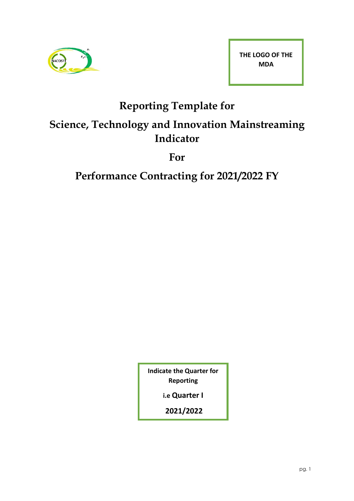

# **Reporting Template for**

## **Science, Technology and Innovation Mainstreaming Indicator**

**For** 

**Performance Contracting for 2021/2022 FY**

**Indicate the Quarter for Reporting**

**i.e Quarter I**

**2021/2022**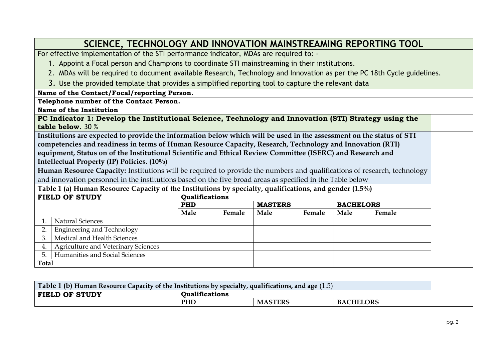### **SCIENCE, TECHNOLOGY AND INNOVATION MAINSTREAMING REPORTING TOOL** For effective implementation of the STI performance indicator, MDAs are required to: - 1. Appoint a Focal person and Champions to coordinate STI mainstreaming in their institutions. 2. MDAs will be required to document available Research, Technology and Innovation as per the PC 18th Cycle guidelines. 3. Use the provided template that provides a simplified reporting tool to capture the relevant data **Name of the Contact/Focal/reporting Person. Telephone number of the Contact Person. Name of the Institution PC Indicator 1: Develop the Institutional Science, Technology and Innovation (STI) Strategy using the table below.** 30 % **Institutions are expected to provide the information below which will be used in the assessment on the status of STI competencies and readiness in terms of Human Resource Capacity, Research, Technology and Innovation (RTI) equipment, Status on of the Institutional Scientific and Ethical Review Committee (ISERC) and Research and Intellectual Property (IP) Policies. (10%) Human Resource Capacity:** Institutions will be required to provide the numbers and qualifications of research, technology and innovation personnel in the institutions based on the five broad areas as specified in the Table below **Table 1 (a) Human Resource Capacity of the Institutions by specialty, qualifications, and gender (1.5%) FIELD OF STUDY Qualifications PHD** MASTERS BACHELORS **Male Female Male Female Male Female** 1. Natural Sciences 2. Engineering and Technology 3. Medical and Health Sciences 4. Agriculture and Veterinary Sciences 5. Humanities and Social Sciences **Total**

| Table 1 (b) Human Resource Capacity of the Institutions by specialty, qualifications, and age $(1.5)$ |                       |                |                  |  |  |  |  |
|-------------------------------------------------------------------------------------------------------|-----------------------|----------------|------------------|--|--|--|--|
| <b>FIELD OF STUDY</b>                                                                                 | <b>Oualifications</b> |                |                  |  |  |  |  |
|                                                                                                       | <b>PHL</b>            | <b>MASTERS</b> | <b>BACHELORS</b> |  |  |  |  |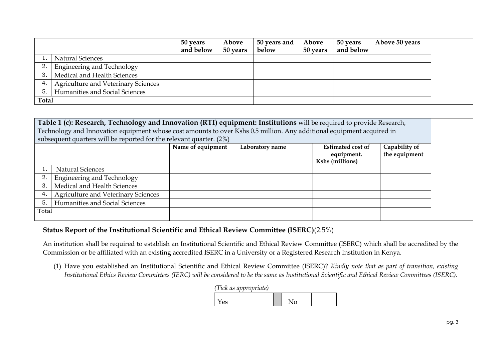|              |                                            | 50 years<br>and below | Above<br>50 years | 50 years and<br>below | Above<br>50 years | 50 years<br>and below | Above 50 years |  |
|--------------|--------------------------------------------|-----------------------|-------------------|-----------------------|-------------------|-----------------------|----------------|--|
|              | Natural Sciences                           |                       |                   |                       |                   |                       |                |  |
|              | Engineering and Technology                 |                       |                   |                       |                   |                       |                |  |
|              | Medical and Health Sciences                |                       |                   |                       |                   |                       |                |  |
|              | <b>Agriculture and Veterinary Sciences</b> |                       |                   |                       |                   |                       |                |  |
|              | Humanities and Social Sciences             |                       |                   |                       |                   |                       |                |  |
| <b>Total</b> |                                            |                       |                   |                       |                   |                       |                |  |

| Table 1 (c): Research, Technology and Innovation (RTI) equipment: Institutions will be required to provide Research,  |                                                                     |                   |                 |                   |               |  |  |
|-----------------------------------------------------------------------------------------------------------------------|---------------------------------------------------------------------|-------------------|-----------------|-------------------|---------------|--|--|
| Technology and Innovation equipment whose cost amounts to over Kshs 0.5 million. Any additional equipment acquired in |                                                                     |                   |                 |                   |               |  |  |
|                                                                                                                       | subsequent quarters will be reported for the relevant quarter. (2%) |                   |                 |                   |               |  |  |
|                                                                                                                       |                                                                     | Name of equipment | Laboratory name | Estimated cost of | Capability of |  |  |
|                                                                                                                       |                                                                     |                   |                 | equipment.        | the equipment |  |  |
|                                                                                                                       |                                                                     |                   |                 | Kshs (millions)   |               |  |  |
|                                                                                                                       | <b>Natural Sciences</b>                                             |                   |                 |                   |               |  |  |
|                                                                                                                       | Engineering and Technology                                          |                   |                 |                   |               |  |  |
| 3                                                                                                                     | Medical and Health Sciences                                         |                   |                 |                   |               |  |  |
|                                                                                                                       | <b>Agriculture and Veterinary Sciences</b>                          |                   |                 |                   |               |  |  |
| 5 <sub>1</sub>                                                                                                        | Humanities and Social Sciences                                      |                   |                 |                   |               |  |  |
| Total                                                                                                                 |                                                                     |                   |                 |                   |               |  |  |
|                                                                                                                       |                                                                     |                   |                 |                   |               |  |  |

#### **Status Report of the Institutional Scientific and Ethical Review Committee (ISERC)**(2.5%)

An institution shall be required to establish an Institutional Scientific and Ethical Review Committee (ISERC) which shall be accredited by the Commission or be affiliated with an existing accredited ISERC in a University or a Registered Research Institution in Kenya.

(1) Have you established an Institutional Scientific and Ethical Review Committee (ISERC)? *Kindly note that as part of transition, existing Institutional Ethics Review Committees (IERC) will be considered to be the same as Institutional Scientific and Ethical Review Committees (ISERC).*

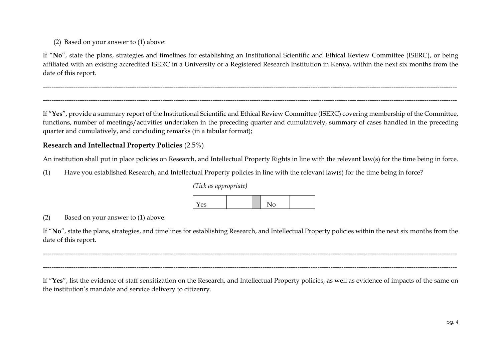(2) Based on your answer to (1) above:

If "**No**", state the plans, strategies and timelines for establishing an Institutional Scientific and Ethical Review Committee (ISERC), or being affiliated with an existing accredited ISERC in a University or a Registered Research Institution in Kenya, within the next six months from the date of this report.

If "**Yes**", provide a summary report of the Institutional Scientific and Ethical Review Committee (ISERC) covering membership of the Committee, functions, number of meetings/activities undertaken in the preceding quarter and cumulatively, summary of cases handled in the preceding quarter and cumulatively, and concluding remarks (in a tabular format);

----------------------------------------------------------------------------------------------------------------------------------------------------------------------------------------------

### **Research and Intellectual Property Policies** (2.5%)

An institution shall put in place policies on Research, and Intellectual Property Rights in line with the relevant law(s) for the time being in force.

(1) Have you established Research, and Intellectual Property policies in line with the relevant law(s) for the time being in force?

#### *(Tick as appropriate)*



#### (2) Based on your answer to (1) above:

If "**No**", state the plans, strategies, and timelines for establishing Research, and Intellectual Property policies within the next six months from the date of this report.

----------------------------------------------------------------------------------------------------------------------------------------------------------------------------------------------

----------------------------------------------------------------------------------------------------------------------------------------------------------------------------------------------

If "**Yes**", list the evidence of staff sensitization on the Research, and Intellectual Property policies, as well as evidence of impacts of the same on the institution's mandate and service delivery to citizenry.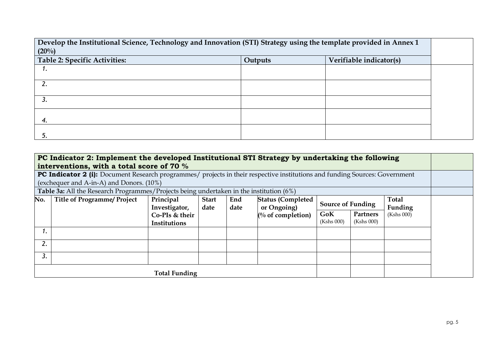**Develop the Institutional Science, Technology and Innovation (STI) Strategy using the template provided in Annex 1 (20%) Table 2: Specific Activities: Outputs Verifiable indicator(s)** *1. 2. 3. 4. 5.*

|                | PC Indicator 2: Implement the developed Institutional STI Strategy by undertaking the following<br>interventions, with a total score of 70 %                            |                                |                      |             |                                         |                          |                        |                  |  |
|----------------|-------------------------------------------------------------------------------------------------------------------------------------------------------------------------|--------------------------------|----------------------|-------------|-----------------------------------------|--------------------------|------------------------|------------------|--|
|                | PC Indicator 2 (i): Document Research programmes/ projects in their respective institutions and funding Sources: Government<br>(exchequer and A-in-A) and Donors. (10%) |                                |                      |             |                                         |                          |                        |                  |  |
|                | Table 3a: All the Research Programmes/Projects being undertaken in the institution (6%)                                                                                 |                                |                      |             |                                         |                          |                        |                  |  |
| No.            | <b>Title of Programme/ Project</b>                                                                                                                                      | Principal<br>Investigator,     | <b>Start</b><br>date | End<br>date | <b>Status (Completed</b><br>or Ongoing) | <b>Source of Funding</b> |                        | Total<br>Funding |  |
|                |                                                                                                                                                                         | Co-PIs & their<br>Institutions |                      |             | $\frac{1}{2}$ of completion)            | GoK<br>(Kshs 000)        | Partners<br>(Kshs 000) | (Kshs 000)       |  |
| $\mathbf{I}$ . |                                                                                                                                                                         |                                |                      |             |                                         |                          |                        |                  |  |
| 2.             |                                                                                                                                                                         |                                |                      |             |                                         |                          |                        |                  |  |
| 3.             |                                                                                                                                                                         |                                |                      |             |                                         |                          |                        |                  |  |
|                |                                                                                                                                                                         | <b>Total Funding</b>           |                      |             |                                         |                          |                        |                  |  |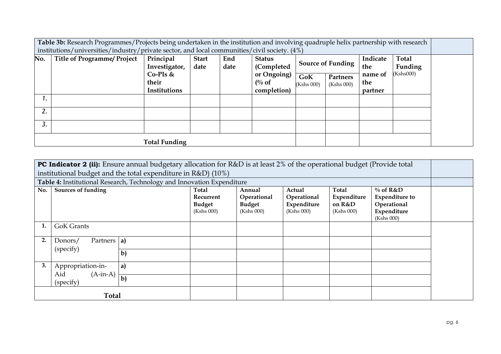**Table 3b:** Research Programmes/Projects being undertaken in the institution and involving quadruple helix partnership with research  $\mid$  institutions/universities/industry/private sector, and local communities/civil society. (4%)

| No. | <b>Title of Programme/ Project</b> | Principal<br>Investigator,<br>$Co-PIs$ &<br>their | <b>Start</b><br>date | End<br>date | <b>Status</b><br>(Completed<br>or Ongoing)<br>$\int_0^{0}$ of | GoK<br>(Kshs 000) | <b>Source of Funding</b><br><b>Partners</b><br>(Kshs 000) | Indicate<br>the<br>name of<br>the | <b>Total</b><br>Funding<br>(Kshs000) |
|-----|------------------------------------|---------------------------------------------------|----------------------|-------------|---------------------------------------------------------------|-------------------|-----------------------------------------------------------|-----------------------------------|--------------------------------------|
| ı.  |                                    | Institutions                                      |                      |             | completion)                                                   |                   |                                                           | partner                           |                                      |
| 2.  |                                    |                                                   |                      |             |                                                               |                   |                                                           |                                   |                                      |
| 3.  |                                    |                                                   |                      |             |                                                               |                   |                                                           |                                   |                                      |
|     |                                    | <b>Total Funding</b>                              |                      |             |                                                               |                   |                                                           |                                   |                                      |

| <b>PC Indicator 2 (ii):</b> Ensure annual budgetary allocation for R&D is at least 2% of the operational budget (Provide total<br>institutional budget and the total expenditure in R&D) (10%)<br>Table 4: Institutional Research, Technology and Innovation Expenditure                                                  |                                                     |              |  |  |  |            |  |  |
|---------------------------------------------------------------------------------------------------------------------------------------------------------------------------------------------------------------------------------------------------------------------------------------------------------------------------|-----------------------------------------------------|--------------|--|--|--|------------|--|--|
| $\%$ of R&D<br>No.<br><b>Sources of funding</b><br>Total<br>Total<br>Annual<br>Actual<br><b>Expenditure to</b><br>Operational<br>Operational<br>Expenditure<br>Recurrent<br>Operational<br><b>Budget</b><br><b>Budget</b><br>Expenditure<br>on R&D<br>(Kshs 000)<br>(Kshs 000)<br>(Kshs 000)<br>Expenditure<br>(Kshs 000) |                                                     |              |  |  |  | (Kshs 000) |  |  |
|                                                                                                                                                                                                                                                                                                                           | <b>GoK Grants</b>                                   |              |  |  |  |            |  |  |
| 2.                                                                                                                                                                                                                                                                                                                        | Partners   a)<br>Donors/<br>(specify)               | $\mathbf{b}$ |  |  |  |            |  |  |
| 3.                                                                                                                                                                                                                                                                                                                        | Appropriation-in-<br>$(A-in-A)$<br>Aid<br>(specify) | a)<br>$b$    |  |  |  |            |  |  |
|                                                                                                                                                                                                                                                                                                                           | <b>Total</b>                                        |              |  |  |  |            |  |  |